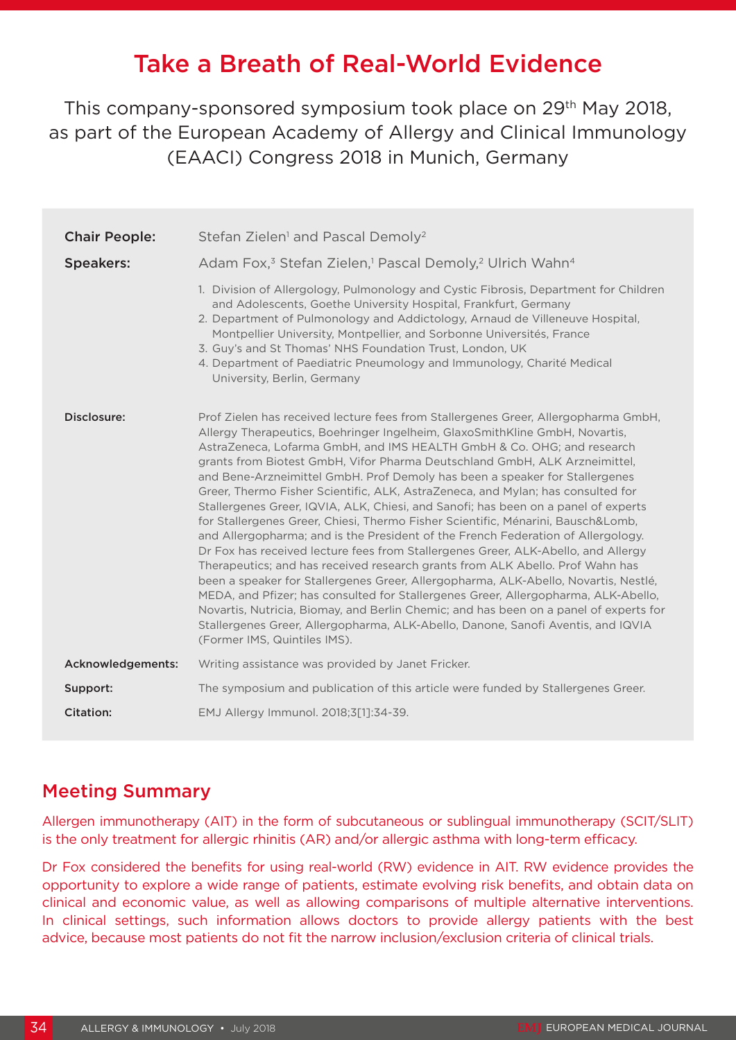# Take a Breath of Real-World Evidence

This company-sponsored symposium took place on 29th May 2018, as part of the European Academy of Allergy and Clinical Immunology (EAACI) Congress 2018 in Munich, Germany

| <b>Chair People:</b> | Stefan Zielen <sup>1</sup> and Pascal Demoly <sup>2</sup>                                                                                                                                                                                                                                                                                                                                                                                                                                                                                                                                                                                                                                                                                                                                                                                                                                                                                                                                                                                                                                                                                                                                                                                                                                                                 |
|----------------------|---------------------------------------------------------------------------------------------------------------------------------------------------------------------------------------------------------------------------------------------------------------------------------------------------------------------------------------------------------------------------------------------------------------------------------------------------------------------------------------------------------------------------------------------------------------------------------------------------------------------------------------------------------------------------------------------------------------------------------------------------------------------------------------------------------------------------------------------------------------------------------------------------------------------------------------------------------------------------------------------------------------------------------------------------------------------------------------------------------------------------------------------------------------------------------------------------------------------------------------------------------------------------------------------------------------------------|
| <b>Speakers:</b>     | Adam Fox, <sup>3</sup> Stefan Zielen, <sup>1</sup> Pascal Demoly, <sup>2</sup> Ulrich Wahn <sup>4</sup>                                                                                                                                                                                                                                                                                                                                                                                                                                                                                                                                                                                                                                                                                                                                                                                                                                                                                                                                                                                                                                                                                                                                                                                                                   |
|                      | 1. Division of Allergology, Pulmonology and Cystic Fibrosis, Department for Children<br>and Adolescents, Goethe University Hospital, Frankfurt, Germany<br>2. Department of Pulmonology and Addictology, Arnaud de Villeneuve Hospital,<br>Montpellier University, Montpellier, and Sorbonne Universités, France<br>3. Guy's and St Thomas' NHS Foundation Trust, London, UK<br>4. Department of Paediatric Pneumology and Immunology, Charité Medical<br>University, Berlin, Germany                                                                                                                                                                                                                                                                                                                                                                                                                                                                                                                                                                                                                                                                                                                                                                                                                                     |
| Disclosure:          | Prof Zielen has received lecture fees from Stallergenes Greer, Allergopharma GmbH,<br>Allergy Therapeutics, Boehringer Ingelheim, GlaxoSmithKline GmbH, Novartis,<br>AstraZeneca, Lofarma GmbH, and IMS HEALTH GmbH & Co. OHG; and research<br>grants from Biotest GmbH, Vifor Pharma Deutschland GmbH, ALK Arzneimittel,<br>and Bene-Arzneimittel GmbH. Prof Demoly has been a speaker for Stallergenes<br>Greer, Thermo Fisher Scientific, ALK, AstraZeneca, and Mylan; has consulted for<br>Stallergenes Greer, IQVIA, ALK, Chiesi, and Sanofi; has been on a panel of experts<br>for Stallergenes Greer, Chiesi, Thermo Fisher Scientific, Ménarini, Bausch&Lomb,<br>and Allergopharma; and is the President of the French Federation of Allergology.<br>Dr Fox has received lecture fees from Stallergenes Greer, ALK-Abello, and Allergy<br>Therapeutics; and has received research grants from ALK Abello. Prof Wahn has<br>been a speaker for Stallergenes Greer, Allergopharma, ALK-Abello, Novartis, Nestlé,<br>MEDA, and Pfizer; has consulted for Stallergenes Greer, Allergopharma, ALK-Abello,<br>Novartis, Nutricia, Biomay, and Berlin Chemic; and has been on a panel of experts for<br>Stallergenes Greer, Allergopharma, ALK-Abello, Danone, Sanofi Aventis, and IQVIA<br>(Former IMS, Quintiles IMS). |
| Acknowledgements:    | Writing assistance was provided by Janet Fricker.                                                                                                                                                                                                                                                                                                                                                                                                                                                                                                                                                                                                                                                                                                                                                                                                                                                                                                                                                                                                                                                                                                                                                                                                                                                                         |
| Support:             | The symposium and publication of this article were funded by Stallergenes Greer.                                                                                                                                                                                                                                                                                                                                                                                                                                                                                                                                                                                                                                                                                                                                                                                                                                                                                                                                                                                                                                                                                                                                                                                                                                          |
| Citation:            | EMJ Allergy Immunol. 2018;3[1]:34-39.                                                                                                                                                                                                                                                                                                                                                                                                                                                                                                                                                                                                                                                                                                                                                                                                                                                                                                                                                                                                                                                                                                                                                                                                                                                                                     |

#### Meeting Summary

Allergen immunotherapy (AIT) in the form of subcutaneous or sublingual immunotherapy (SCIT/SLIT) is the only treatment for allergic rhinitis (AR) and/or allergic asthma with long-term efficacy.

Dr Fox considered the benefits for using real-world (RW) evidence in AIT. RW evidence provides the opportunity to explore a wide range of patients, estimate evolving risk benefits, and obtain data on clinical and economic value, as well as allowing comparisons of multiple alternative interventions. In clinical settings, such information allows doctors to provide allergy patients with the best advice, because most patients do not fit the narrow inclusion/exclusion criteria of clinical trials.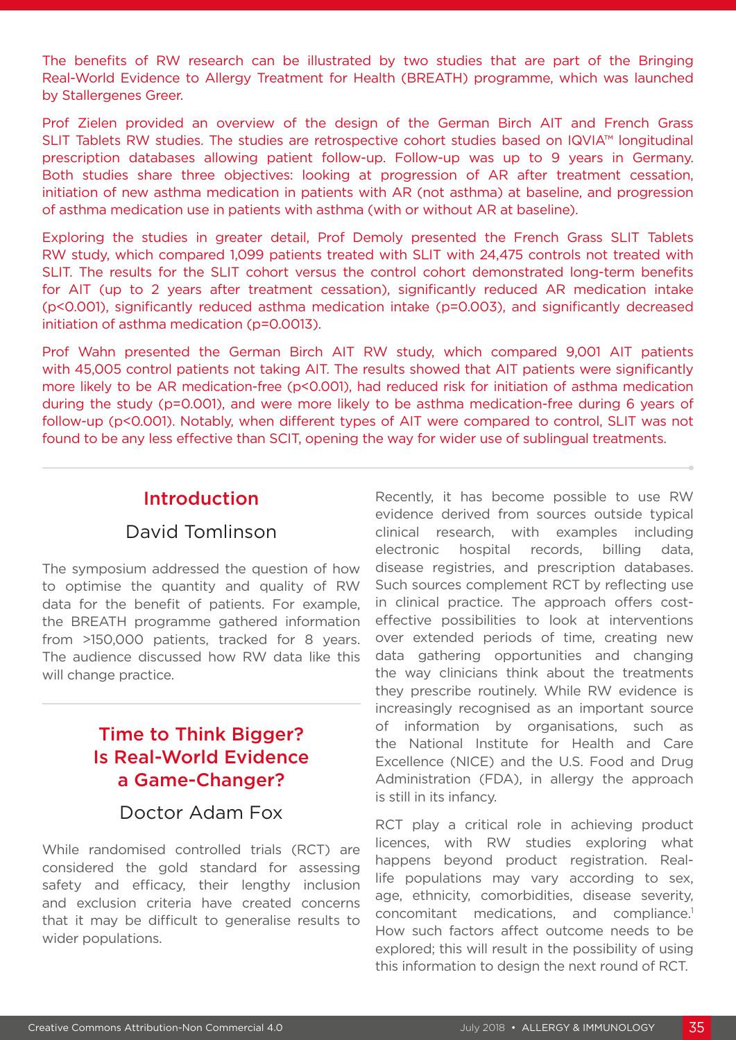The benefits of RW research can be illustrated by two studies that are part of the Bringing Real-World Evidence to Allergy Treatment for Health (BREATH) programme, which was launched by Stallergenes Greer.

Prof Zielen provided an overview of the design of the German Birch AIT and French Grass SLIT Tablets RW studies. The studies are retrospective cohort studies based on IQVIA™ longitudinal prescription databases allowing patient follow-up. Follow-up was up to 9 years in Germany. Both studies share three objectives: looking at progression of AR after treatment cessation, initiation of new asthma medication in patients with AR (not asthma) at baseline, and progression of asthma medication use in patients with asthma (with or without AR at baseline).

Exploring the studies in greater detail, Prof Demoly presented the French Grass SLIT Tablets RW study, which compared 1,099 patients treated with SLIT with 24,475 controls not treated with SLIT. The results for the SLIT cohort versus the control cohort demonstrated long-term benefits for AIT (up to 2 years after treatment cessation), significantly reduced AR medication intake (p<0.001), significantly reduced asthma medication intake (p=0.003), and significantly decreased initiation of asthma medication (p=0.0013).

Prof Wahn presented the German Birch AIT RW study, which compared 9,001 AIT patients with 45,005 control patients not taking AIT. The results showed that AIT patients were significantly more likely to be AR medication-free (p<0.001), had reduced risk for initiation of asthma medication during the study (p=0.001), and were more likely to be asthma medication-free during 6 years of follow-up (p<0.001). Notably, when different types of AIT were compared to control, SLIT was not found to be any less effective than SCIT, opening the way for wider use of sublingual treatments.

#### Introduction

### David Tomlinson

The symposium addressed the question of how to optimise the quantity and quality of RW data for the benefit of patients. For example, the BREATH programme gathered information from >150,000 patients, tracked for 8 years. The audience discussed how RW data like this will change practice.

### Time to Think Bigger? Is Real-World Evidence a Game-Changer?

#### Doctor Adam Fox

While randomised controlled trials (RCT) are considered the gold standard for assessing safety and efficacy, their lengthy inclusion and exclusion criteria have created concerns that it may be difficult to generalise results to wider populations.

Recently, it has become possible to use RW evidence derived from sources outside typical clinical research, with examples including electronic hospital records, billing data, disease registries, and prescription databases. Such sources complement RCT by reflecting use in clinical practice. The approach offers costeffective possibilities to look at interventions over extended periods of time, creating new data gathering opportunities and changing the way clinicians think about the treatments they prescribe routinely. While RW evidence is increasingly recognised as an important source of information by organisations, such as the National Institute for Health and Care Excellence (NICE) and the U.S. Food and Drug Administration (FDA), in allergy the approach is still in its infancy.

RCT play a critical role in achieving product licences, with RW studies exploring what happens beyond product registration. Reallife populations may vary according to sex, age, ethnicity, comorbidities, disease severity, concomitant medications, and compliance.1 How such factors affect outcome needs to be explored; this will result in the possibility of using this information to design the next round of RCT.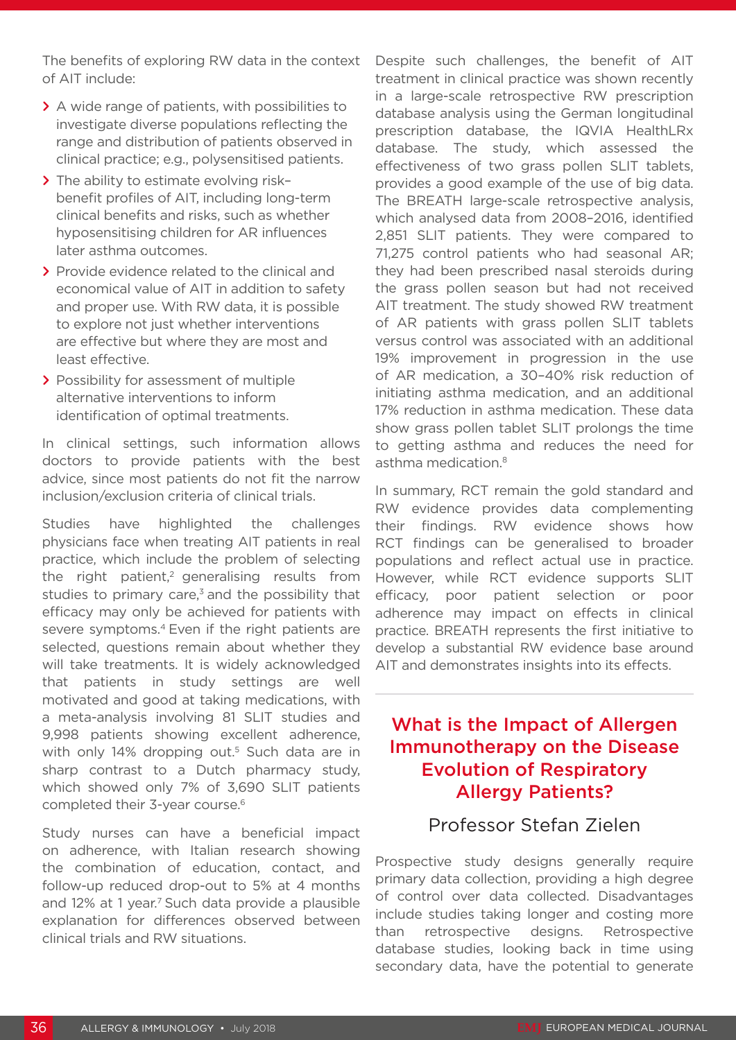The benefits of exploring RW data in the context of AIT include:

- **>** A wide range of patients, with possibilities to investigate diverse populations reflecting the range and distribution of patients observed in clinical practice; e.g., polysensitised patients.
- **>** The ability to estimate evolving risk– benefit profiles of AIT, including long-term clinical benefits and risks, such as whether hyposensitising children for AR influences later asthma outcomes.
- **>** Provide evidence related to the clinical and economical value of AIT in addition to safety and proper use. With RW data, it is possible to explore not just whether interventions are effective but where they are most and least effective.
- **>** Possibility for assessment of multiple alternative interventions to inform identification of optimal treatments.

In clinical settings, such information allows doctors to provide patients with the best advice, since most patients do not fit the narrow inclusion/exclusion criteria of clinical trials.

Studies have highlighted the challenges physicians face when treating AIT patients in real practice, which include the problem of selecting the right patient,<sup>2</sup> generalising results from studies to primary care, $3$  and the possibility that efficacy may only be achieved for patients with severe symptoms.<sup>4</sup> Even if the right patients are selected, questions remain about whether they will take treatments. It is widely acknowledged that patients in study settings are well motivated and good at taking medications, with a meta-analysis involving 81 SLIT studies and 9,998 patients showing excellent adherence, with only 14% dropping out.<sup>5</sup> Such data are in sharp contrast to a Dutch pharmacy study, which showed only 7% of 3,690 SLIT patients completed their 3-year course.6

Study nurses can have a beneficial impact on adherence, with Italian research showing the combination of education, contact, and follow-up reduced drop-out to 5% at 4 months and 12% at 1 year.<sup>7</sup> Such data provide a plausible explanation for differences observed between clinical trials and RW situations.

Despite such challenges, the benefit of AIT treatment in clinical practice was shown recently in a large-scale retrospective RW prescription database analysis using the German longitudinal prescription database, the IQVIA HealthLRx database. The study, which assessed the effectiveness of two grass pollen SLIT tablets, provides a good example of the use of big data. The BREATH large-scale retrospective analysis, which analysed data from 2008–2016, identified 2,851 SLIT patients. They were compared to 71,275 control patients who had seasonal AR; they had been prescribed nasal steroids during the grass pollen season but had not received AIT treatment. The study showed RW treatment of AR patients with grass pollen SLIT tablets versus control was associated with an additional 19% improvement in progression in the use of AR medication, a 30–40% risk reduction of initiating asthma medication, and an additional 17% reduction in asthma medication. These data show grass pollen tablet SLIT prolongs the time to getting asthma and reduces the need for asthma medication.8

In summary, RCT remain the gold standard and RW evidence provides data complementing their findings. RW evidence shows how RCT findings can be generalised to broader populations and reflect actual use in practice. However, while RCT evidence supports SLIT efficacy, poor patient selection or poor adherence may impact on effects in clinical practice. BREATH represents the first initiative to develop a substantial RW evidence base around AIT and demonstrates insights into its effects.

## What is the Impact of Allergen Immunotherapy on the Disease Evolution of Respiratory Allergy Patients?

#### Professor Stefan Zielen

Prospective study designs generally require primary data collection, providing a high degree of control over data collected. Disadvantages include studies taking longer and costing more than retrospective designs. Retrospective database studies, looking back in time using secondary data, have the potential to generate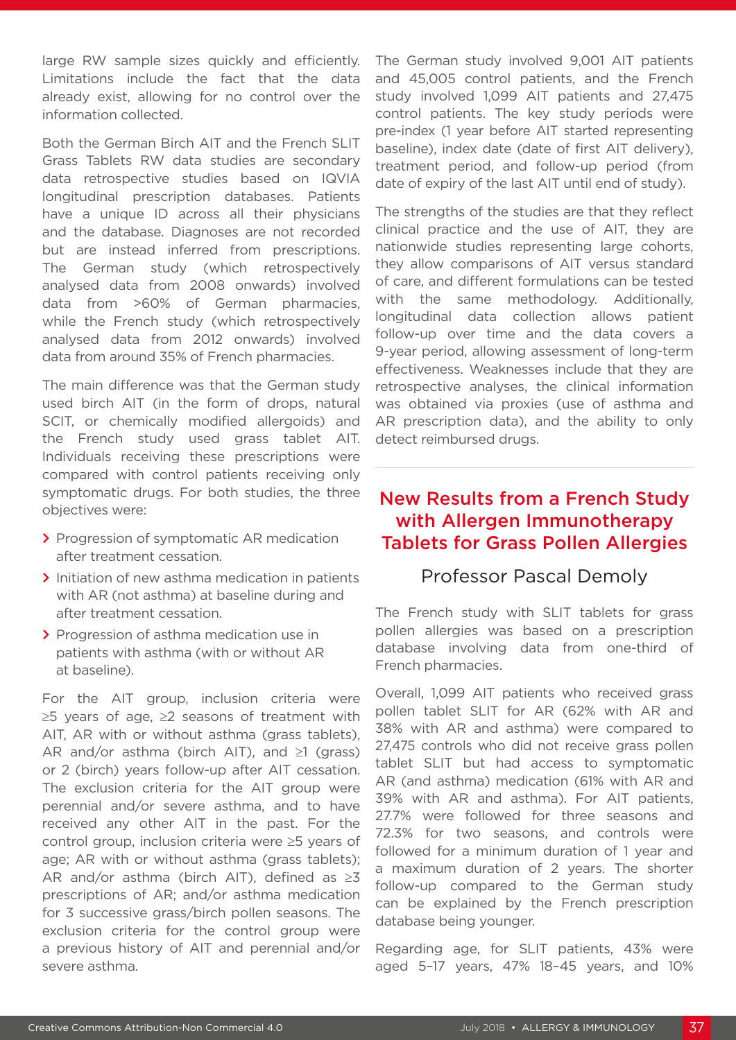large RW sample sizes quickly and efficiently. Limitations include the fact that the data already exist, allowing for no control over the information collected.

Both the German Birch AIT and the French SLIT Grass Tablets RW data studies are secondary data retrospective studies based on IQVIA longitudinal prescription databases. Patients have a unique ID across all their physicians and the database. Diagnoses are not recorded but are instead inferred from prescriptions. The German study (which retrospectively analysed data from 2008 onwards) involved data from >60% of German pharmacies, while the French study (which retrospectively analysed data from 2012 onwards) involved data from around 35% of French pharmacies.

The main difference was that the German study used birch AIT (in the form of drops, natural SCIT, or chemically modified allergoids) and the French study used grass tablet AIT. Individuals receiving these prescriptions were compared with control patients receiving only symptomatic drugs. For both studies, the three objectives were:

- **>** Progression of symptomatic AR medication after treatment cessation.
- **>** Initiation of new asthma medication in patients with AR (not asthma) at baseline during and after treatment cessation.
- **>** Progression of asthma medication use in patients with asthma (with or without AR at baseline).

For the AIT group, inclusion criteria were ≥5 years of age, ≥2 seasons of treatment with AIT, AR with or without asthma (grass tablets), AR and/or asthma (birch AIT), and  $\geq 1$  (grass) or 2 (birch) years follow-up after AIT cessation. The exclusion criteria for the AIT group were perennial and/or severe asthma, and to have received any other AIT in the past. For the control group, inclusion criteria were ≥5 years of age; AR with or without asthma (grass tablets); AR and/or asthma (birch AIT), defined as  $\geq 3$ prescriptions of AR; and/or asthma medication for 3 successive grass/birch pollen seasons. The exclusion criteria for the control group were a previous history of AIT and perennial and/or severe asthma.

The German study involved 9,001 AIT patients and 45,005 control patients, and the French study involved 1,099 AIT patients and 27,475 control patients. The key study periods were pre-index (1 year before AIT started representing baseline), index date (date of first AIT delivery), treatment period, and follow-up period (from date of expiry of the last AIT until end of study).

The strengths of the studies are that they reflect clinical practice and the use of AIT, they are nationwide studies representing large cohorts, they allow comparisons of AIT versus standard of care, and different formulations can be tested with the same methodology. Additionally, longitudinal data collection allows patient follow-up over time and the data covers a 9-year period, allowing assessment of long-term effectiveness. Weaknesses include that they are retrospective analyses, the clinical information was obtained via proxies (use of asthma and AR prescription data), and the ability to only detect reimbursed drugs.

### New Results from a French Study with Allergen Immunotherapy Tablets for Grass Pollen Allergies

#### Professor Pascal Demoly

The French study with SLIT tablets for grass pollen allergies was based on a prescription database involving data from one-third of French pharmacies.

Overall, 1,099 AIT patients who received grass pollen tablet SLIT for AR (62% with AR and 38% with AR and asthma) were compared to 27,475 controls who did not receive grass pollen tablet SLIT but had access to symptomatic AR (and asthma) medication (61% with AR and 39% with AR and asthma). For AIT patients, 27.7% were followed for three seasons and 72.3% for two seasons, and controls were followed for a minimum duration of 1 year and a maximum duration of 2 years. The shorter follow-up compared to the German study can be explained by the French prescription database being younger.

Regarding age, for SLIT patients, 43% were aged 5–17 years, 47% 18–45 years, and 10%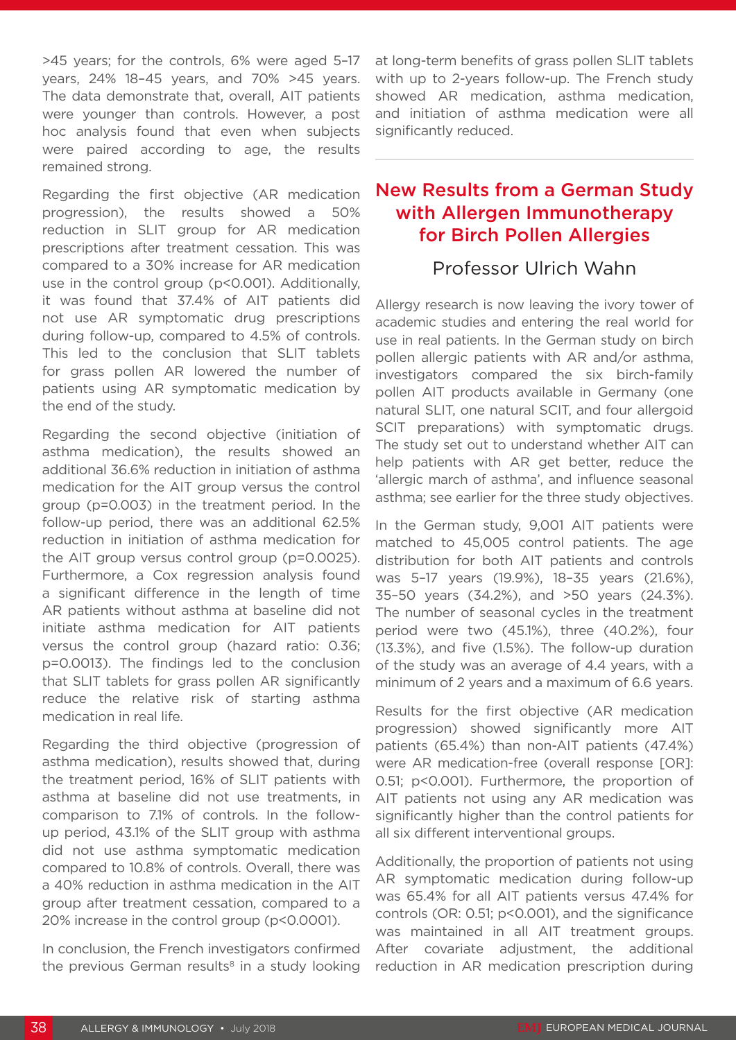>45 years; for the controls, 6% were aged 5–17 years, 24% 18–45 years, and 70% >45 years. The data demonstrate that, overall, AIT patients were younger than controls. However, a post hoc analysis found that even when subjects were paired according to age, the results remained strong.

Regarding the first objective (AR medication progression), the results showed a 50% reduction in SLIT group for AR medication prescriptions after treatment cessation. This was compared to a 30% increase for AR medication use in the control group (p<0.001). Additionally, it was found that 37.4% of AIT patients did not use AR symptomatic drug prescriptions during follow-up, compared to 4.5% of controls. This led to the conclusion that SLIT tablets for grass pollen AR lowered the number of patients using AR symptomatic medication by the end of the study.

Regarding the second objective (initiation of asthma medication), the results showed an additional 36.6% reduction in initiation of asthma medication for the AIT group versus the control group (p=0.003) in the treatment period. In the follow-up period, there was an additional 62.5% reduction in initiation of asthma medication for the AIT group versus control group (p=0.0025). Furthermore, a Cox regression analysis found a significant difference in the length of time AR patients without asthma at baseline did not initiate asthma medication for AIT patients versus the control group (hazard ratio: 0.36; p=0.0013). The findings led to the conclusion that SLIT tablets for grass pollen AR significantly reduce the relative risk of starting asthma medication in real life.

Regarding the third objective (progression of asthma medication), results showed that, during the treatment period, 16% of SLIT patients with asthma at baseline did not use treatments, in comparison to 7.1% of controls. In the followup period, 43.1% of the SLIT group with asthma did not use asthma symptomatic medication compared to 10.8% of controls. Overall, there was a 40% reduction in asthma medication in the AIT group after treatment cessation, compared to a 20% increase in the control group (p<0.0001).

In conclusion, the French investigators confirmed the previous German results $8$  in a study looking

at long-term benefits of grass pollen SLIT tablets with up to 2-years follow-up. The French study showed AR medication, asthma medication, and initiation of asthma medication were all significantly reduced.

#### New Results from a German Study with Allergen Immunotherapy for Birch Pollen Allergies

#### Professor Ulrich Wahn

Allergy research is now leaving the ivory tower of academic studies and entering the real world for use in real patients. In the German study on birch pollen allergic patients with AR and/or asthma, investigators compared the six birch-family pollen AIT products available in Germany (one natural SLIT, one natural SCIT, and four allergoid SCIT preparations) with symptomatic drugs. The study set out to understand whether AIT can help patients with AR get better, reduce the 'allergic march of asthma', and influence seasonal asthma; see earlier for the three study objectives.

In the German study, 9,001 AIT patients were matched to 45,005 control patients. The age distribution for both AIT patients and controls was 5–17 years (19.9%), 18–35 years (21.6%), 35–50 years (34.2%), and >50 years (24.3%). The number of seasonal cycles in the treatment period were two (45.1%), three (40.2%), four (13.3%), and five (1.5%). The follow-up duration of the study was an average of 4.4 years, with a minimum of 2 years and a maximum of 6.6 years.

Results for the first objective (AR medication progression) showed significantly more AIT patients (65.4%) than non-AIT patients (47.4%) were AR medication-free (overall response [OR]: 0.51; p<0.001). Furthermore, the proportion of AIT patients not using any AR medication was significantly higher than the control patients for all six different interventional groups.

Additionally, the proportion of patients not using AR symptomatic medication during follow-up was 65.4% for all AIT patients versus 47.4% for controls (OR: 0.51; p<0.001), and the significance was maintained in all AIT treatment groups. After covariate adjustment, the additional reduction in AR medication prescription during